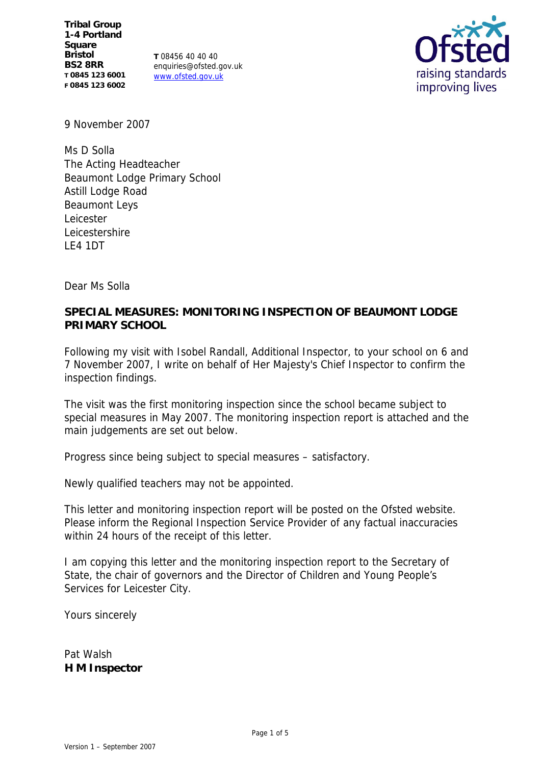**Tribal Group 1-4 Portland Square Bristol BS2 8RR T 0845 123 6001 F 0845 123 6002**

**T** 08456 40 40 40 enquiries@ofsted.gov.uk www.ofsted.gov.uk



9 November 2007

Ms D Solla The Acting Headteacher Beaumont Lodge Primary School Astill Lodge Road Beaumont Leys Leicester Leicestershire LE4 1DT

Dear Ms Solla

**SPECIAL MEASURES: MONITORING INSPECTION OF BEAUMONT LODGE PRIMARY SCHOOL**

Following my visit with Isobel Randall, Additional Inspector, to your school on 6 and 7 November 2007, I write on behalf of Her Majesty's Chief Inspector to confirm the inspection findings.

The visit was the first monitoring inspection since the school became subject to special measures in May 2007. The monitoring inspection report is attached and the main judgements are set out below.

Progress since being subject to special measures – satisfactory.

Newly qualified teachers may not be appointed.

This letter and monitoring inspection report will be posted on the Ofsted website. Please inform the Regional Inspection Service Provider of any factual inaccuracies within 24 hours of the receipt of this letter.

I am copying this letter and the monitoring inspection report to the Secretary of State, the chair of governors and the Director of Children and Young People's Services for Leicester City.

Yours sincerely

Pat Walsh **H M Inspector**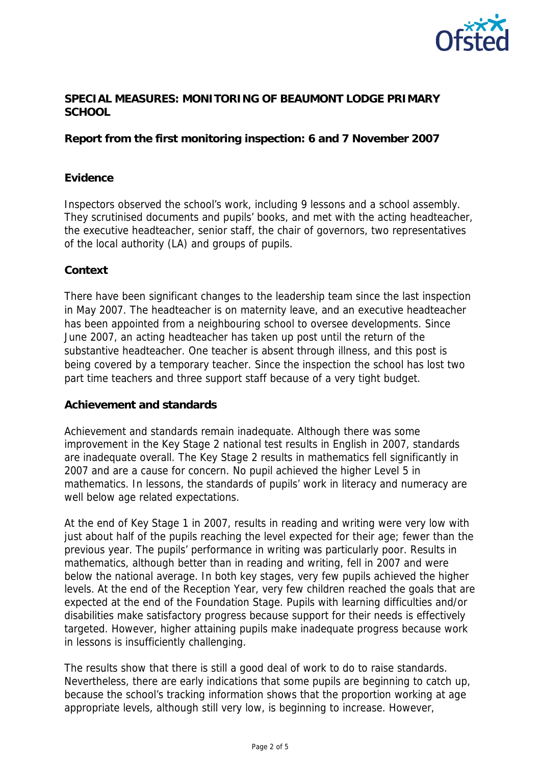

# **SPECIAL MEASURES: MONITORING OF BEAUMONT LODGE PRIMARY SCHOOL**

**Report from the first monitoring inspection: 6 and 7 November 2007**

## **Evidence**

Inspectors observed the school's work, including 9 lessons and a school assembly. They scrutinised documents and pupils' books, and met with the acting headteacher, the executive headteacher, senior staff, the chair of governors, two representatives of the local authority (LA) and groups of pupils.

## **Context**

There have been significant changes to the leadership team since the last inspection in May 2007. The headteacher is on maternity leave, and an executive headteacher has been appointed from a neighbouring school to oversee developments. Since June 2007, an acting headteacher has taken up post until the return of the substantive headteacher. One teacher is absent through illness, and this post is being covered by a temporary teacher. Since the inspection the school has lost two part time teachers and three support staff because of a very tight budget.

#### **Achievement and standards**

Achievement and standards remain inadequate. Although there was some improvement in the Key Stage 2 national test results in English in 2007, standards are inadequate overall. The Key Stage 2 results in mathematics fell significantly in 2007 and are a cause for concern. No pupil achieved the higher Level 5 in mathematics. In lessons, the standards of pupils' work in literacy and numeracy are well below age related expectations.

At the end of Key Stage 1 in 2007, results in reading and writing were very low with just about half of the pupils reaching the level expected for their age; fewer than the previous year. The pupils' performance in writing was particularly poor. Results in mathematics, although better than in reading and writing, fell in 2007 and were below the national average. In both key stages, very few pupils achieved the higher levels. At the end of the Reception Year, very few children reached the goals that are expected at the end of the Foundation Stage. Pupils with learning difficulties and/or disabilities make satisfactory progress because support for their needs is effectively targeted. However, higher attaining pupils make inadequate progress because work in lessons is insufficiently challenging.

The results show that there is still a good deal of work to do to raise standards. Nevertheless, there are early indications that some pupils are beginning to catch up, because the school's tracking information shows that the proportion working at age appropriate levels, although still very low, is beginning to increase. However,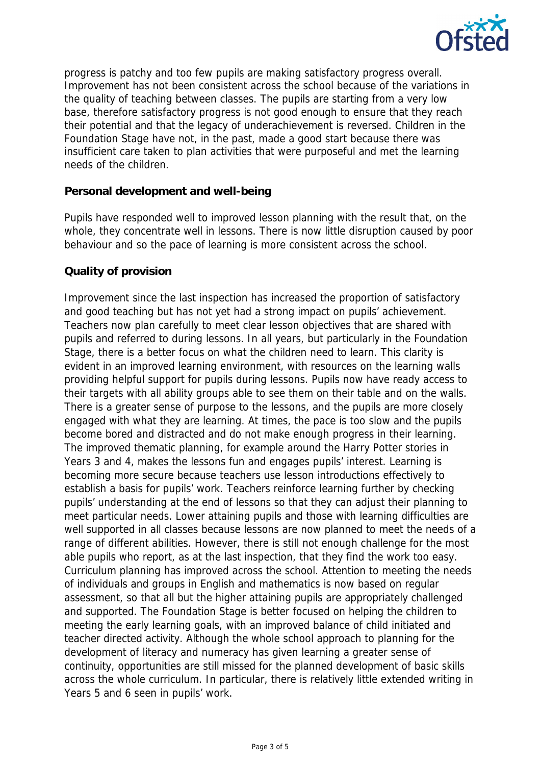

progress is patchy and too few pupils are making satisfactory progress overall. Improvement has not been consistent across the school because of the variations in the quality of teaching between classes. The pupils are starting from a very low base, therefore satisfactory progress is not good enough to ensure that they reach their potential and that the legacy of underachievement is reversed. Children in the Foundation Stage have not, in the past, made a good start because there was insufficient care taken to plan activities that were purposeful and met the learning needs of the children.

### **Personal development and well-being**

Pupils have responded well to improved lesson planning with the result that, on the whole, they concentrate well in lessons. There is now little disruption caused by poor behaviour and so the pace of learning is more consistent across the school.

### **Quality of provision**

Improvement since the last inspection has increased the proportion of satisfactory and good teaching but has not yet had a strong impact on pupils' achievement. Teachers now plan carefully to meet clear lesson objectives that are shared with pupils and referred to during lessons. In all years, but particularly in the Foundation Stage, there is a better focus on what the children need to learn. This clarity is evident in an improved learning environment, with resources on the learning walls providing helpful support for pupils during lessons. Pupils now have ready access to their targets with all ability groups able to see them on their table and on the walls. There is a greater sense of purpose to the lessons, and the pupils are more closely engaged with what they are learning. At times, the pace is too slow and the pupils become bored and distracted and do not make enough progress in their learning. The improved thematic planning, for example around the Harry Potter stories in Years 3 and 4, makes the lessons fun and engages pupils' interest. Learning is becoming more secure because teachers use lesson introductions effectively to establish a basis for pupils' work. Teachers reinforce learning further by checking pupils' understanding at the end of lessons so that they can adjust their planning to meet particular needs. Lower attaining pupils and those with learning difficulties are well supported in all classes because lessons are now planned to meet the needs of a range of different abilities. However, there is still not enough challenge for the most able pupils who report, as at the last inspection, that they find the work too easy. Curriculum planning has improved across the school. Attention to meeting the needs of individuals and groups in English and mathematics is now based on regular assessment, so that all but the higher attaining pupils are appropriately challenged and supported. The Foundation Stage is better focused on helping the children to meeting the early learning goals, with an improved balance of child initiated and teacher directed activity. Although the whole school approach to planning for the development of literacy and numeracy has given learning a greater sense of continuity, opportunities are still missed for the planned development of basic skills across the whole curriculum. In particular, there is relatively little extended writing in Years 5 and 6 seen in pupils' work.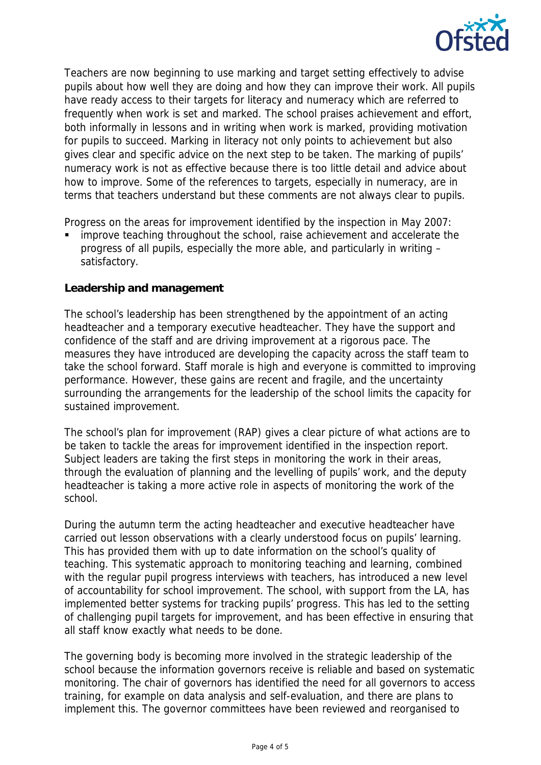

Teachers are now beginning to use marking and target setting effectively to advise pupils about how well they are doing and how they can improve their work. All pupils have ready access to their targets for literacy and numeracy which are referred to frequently when work is set and marked. The school praises achievement and effort, both informally in lessons and in writing when work is marked, providing motivation for pupils to succeed. Marking in literacy not only points to achievement but also gives clear and specific advice on the next step to be taken. The marking of pupils' numeracy work is not as effective because there is too little detail and advice about how to improve. Some of the references to targets, especially in numeracy, are in terms that teachers understand but these comments are not always clear to pupils.

Progress on the areas for improvement identified by the inspection in May 2007:

 improve teaching throughout the school, raise achievement and accelerate the progress of all pupils, especially the more able, and particularly in writing – satisfactory.

### **Leadership and management**

The school's leadership has been strengthened by the appointment of an acting headteacher and a temporary executive headteacher. They have the support and confidence of the staff and are driving improvement at a rigorous pace. The measures they have introduced are developing the capacity across the staff team to take the school forward. Staff morale is high and everyone is committed to improving performance. However, these gains are recent and fragile, and the uncertainty surrounding the arrangements for the leadership of the school limits the capacity for sustained improvement.

The school's plan for improvement (RAP) gives a clear picture of what actions are to be taken to tackle the areas for improvement identified in the inspection report. Subject leaders are taking the first steps in monitoring the work in their areas, through the evaluation of planning and the levelling of pupils' work, and the deputy headteacher is taking a more active role in aspects of monitoring the work of the school.

During the autumn term the acting headteacher and executive headteacher have carried out lesson observations with a clearly understood focus on pupils' learning. This has provided them with up to date information on the school's quality of teaching. This systematic approach to monitoring teaching and learning, combined with the regular pupil progress interviews with teachers, has introduced a new level of accountability for school improvement. The school, with support from the LA, has implemented better systems for tracking pupils' progress. This has led to the setting of challenging pupil targets for improvement, and has been effective in ensuring that all staff know exactly what needs to be done.

The governing body is becoming more involved in the strategic leadership of the school because the information governors receive is reliable and based on systematic monitoring. The chair of governors has identified the need for all governors to access training, for example on data analysis and self-evaluation, and there are plans to implement this. The governor committees have been reviewed and reorganised to